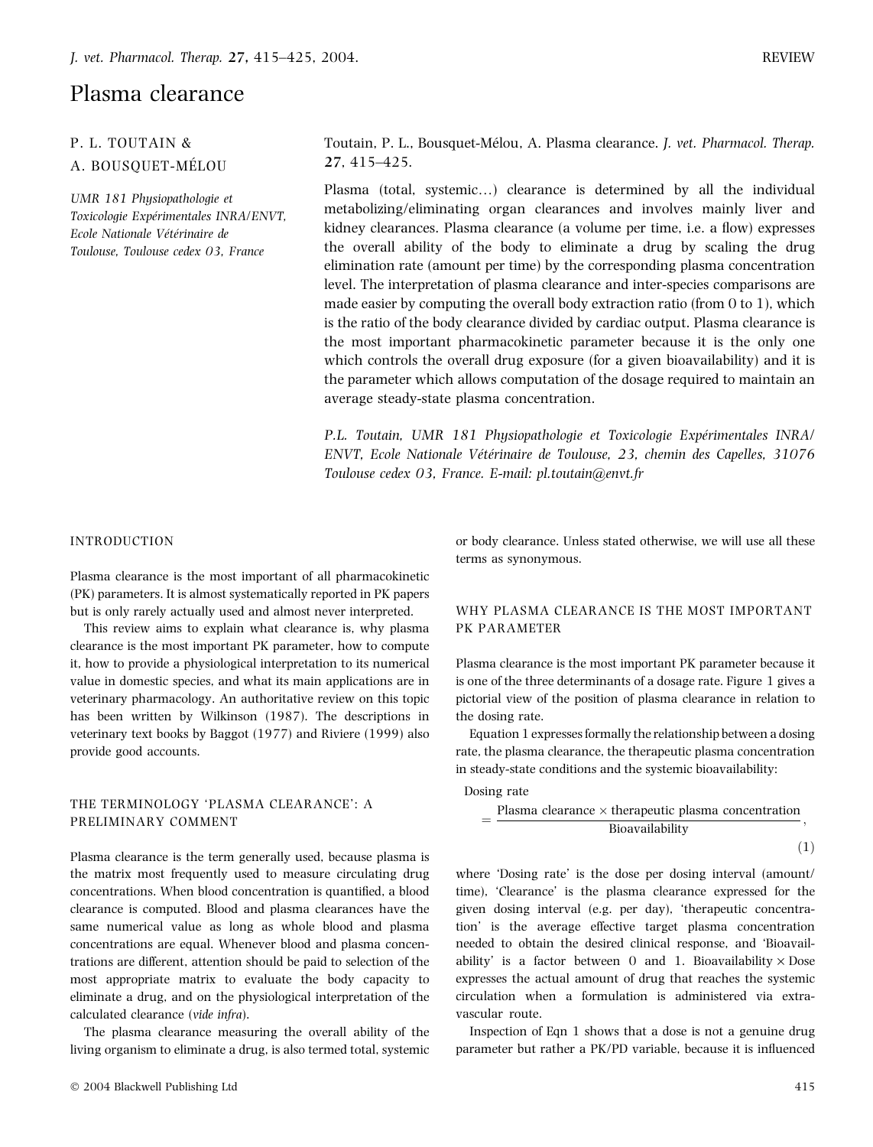# Plasma clearance

# P. L. TOUTAIN & A. BOUSQUET-MÉLOU

UMR 181 Physiopathologie et Toxicologie Expérimentales INRA/ENVT, Ecole Nationale Vétérinaire de Toulouse, Toulouse cedex 03, France

Toutain, P. L., Bousquet-Mélou, A. Plasma clearance. J. vet. Pharmacol. Therap. 27, 415–425.

Plasma (total, systemic…) clearance is determined by all the individual metabolizing/eliminating organ clearances and involves mainly liver and kidney clearances. Plasma clearance (a volume per time, i.e. a flow) expresses the overall ability of the body to eliminate a drug by scaling the drug elimination rate (amount per time) by the corresponding plasma concentration level. The interpretation of plasma clearance and inter-species comparisons are made easier by computing the overall body extraction ratio (from 0 to 1), which is the ratio of the body clearance divided by cardiac output. Plasma clearance is the most important pharmacokinetic parameter because it is the only one which controls the overall drug exposure (for a given bioavailability) and it is the parameter which allows computation of the dosage required to maintain an average steady-state plasma concentration.

P.L. Toutain, UMR 181 Physiopathologie et Toxicologie Expérimentales INRA/ ENVT, Ecole Nationale Vétérinaire de Toulouse, 23, chemin des Capelles, 31076 Toulouse cedex 03, France. E-mail: pl.toutain@envt.fr

## INTRODUCTION

Plasma clearance is the most important of all pharmacokinetic (PK) parameters. It is almost systematically reported in PK papers but is only rarely actually used and almost never interpreted.

This review aims to explain what clearance is, why plasma clearance is the most important PK parameter, how to compute it, how to provide a physiological interpretation to its numerical value in domestic species, and what its main applications are in veterinary pharmacology. An authoritative review on this topic has been written by Wilkinson (1987). The descriptions in veterinary text books by Baggot (1977) and Riviere (1999) also provide good accounts.

## THE TERMINOLOGY 'PLASMA CLEARANCE': A PRELIMINARY COMMENT

Plasma clearance is the term generally used, because plasma is the matrix most frequently used to measure circulating drug concentrations. When blood concentration is quantified, a blood clearance is computed. Blood and plasma clearances have the same numerical value as long as whole blood and plasma concentrations are equal. Whenever blood and plasma concentrations are different, attention should be paid to selection of the most appropriate matrix to evaluate the body capacity to eliminate a drug, and on the physiological interpretation of the calculated clearance (vide infra).

The plasma clearance measuring the overall ability of the living organism to eliminate a drug, is also termed total, systemic

or body clearance. Unless stated otherwise, we will use all these terms as synonymous.

## WHY PLASMA CLEARANCE IS THE MOST IMPORTANT PK PARAMETER

Plasma clearance is the most important PK parameter because it is one of the three determinants of a dosage rate. Figure 1 gives a pictorial view of the position of plasma clearance in relation to the dosing rate.

Equation 1 expresses formally the relationship between a dosing rate, the plasma clearance, the therapeutic plasma concentration in steady-state conditions and the systemic bioavailability:

Dosing rate

$$
= \frac{\text{Plasma clearance} \times \text{therepective plasma concentration}}{\text{Bioavailability}},
$$
\n(1)

where 'Dosing rate' is the dose per dosing interval (amount/ time), 'Clearance' is the plasma clearance expressed for the given dosing interval (e.g. per day), 'therapeutic concentration' is the average effective target plasma concentration needed to obtain the desired clinical response, and 'Bioavailability' is a factor between 0 and 1. Bioavailability  $\times$  Dose expresses the actual amount of drug that reaches the systemic circulation when a formulation is administered via extravascular route.

Inspection of Eqn 1 shows that a dose is not a genuine drug parameter but rather a PK/PD variable, because it is influenced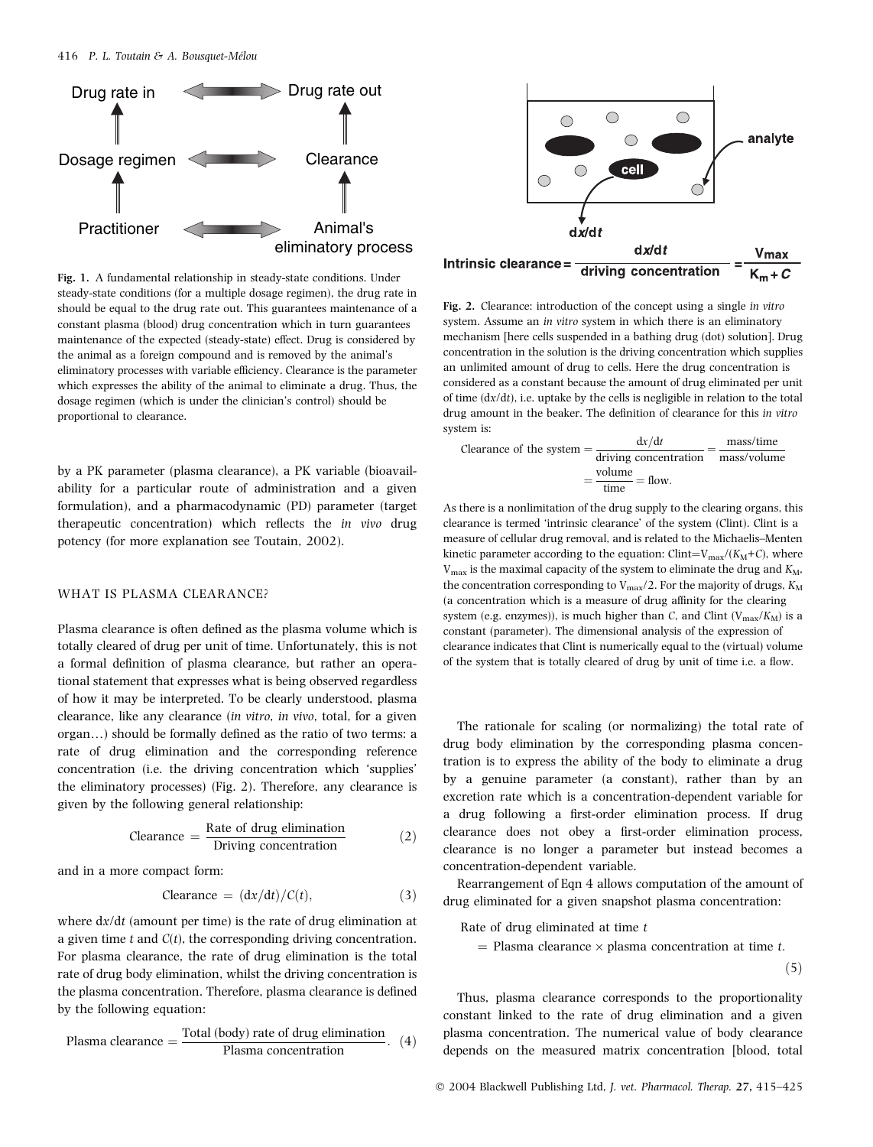

Fig. 1. A fundamental relationship in steady-state conditions. Under steady-state conditions (for a multiple dosage regimen), the drug rate in should be equal to the drug rate out. This guarantees maintenance of a constant plasma (blood) drug concentration which in turn guarantees maintenance of the expected (steady-state) effect. Drug is considered by the animal as a foreign compound and is removed by the animal's eliminatory processes with variable efficiency. Clearance is the parameter which expresses the ability of the animal to eliminate a drug. Thus, the dosage regimen (which is under the clinician's control) should be proportional to clearance.

by a PK parameter (plasma clearance), a PK variable (bioavailability for a particular route of administration and a given formulation), and a pharmacodynamic (PD) parameter (target therapeutic concentration) which reflects the in vivo drug potency (for more explanation see Toutain, 2002).

## WHAT IS PLASMA CLEARANCE?

Plasma clearance is often defined as the plasma volume which is totally cleared of drug per unit of time. Unfortunately, this is not a formal definition of plasma clearance, but rather an operational statement that expresses what is being observed regardless of how it may be interpreted. To be clearly understood, plasma clearance, like any clearance (in vitro, in vivo, total, for a given organ…) should be formally defined as the ratio of two terms: a rate of drug elimination and the corresponding reference concentration (i.e. the driving concentration which 'supplies' the eliminatory processes) (Fig. 2). Therefore, any clearance is given by the following general relationship:

$$
Clearance = \frac{Rate \space of \space drug \space elimination}{Diving \space concentration}
$$
 (2)

and in a more compact form:

$$
Clearance = (dx/dt)/C(t), \qquad (3)
$$

where dx/dt (amount per time) is the rate of drug elimination at a given time  $t$  and  $C(t)$ , the corresponding driving concentration. For plasma clearance, the rate of drug elimination is the total rate of drug body elimination, whilst the driving concentration is the plasma concentration. Therefore, plasma clearance is defined by the following equation:

Plasma clearance = 
$$
\frac{\text{Total (body) rate of drug elimination}}{\text{Plasma concentration}}.
$$
 (4)



Fig. 2. Clearance: introduction of the concept using a single in vitro system. Assume an in vitro system in which there is an eliminatory mechanism [here cells suspended in a bathing drug (dot) solution]. Drug concentration in the solution is the driving concentration which supplies an unlimited amount of drug to cells. Here the drug concentration is considered as a constant because the amount of drug eliminated per unit of time  $\left(\frac{dx}{dt}\right)$ , i.e. uptake by the cells is negligible in relation to the total drug amount in the beaker. The definition of clearance for this in vitro system is:

$$
\text{Clearance of the system} = \frac{\text{d}x/\text{d}t}{\text{driving concentration}} = \frac{\text{mass/time}}{\text{mass/volume}}
$$
\n
$$
= \frac{\text{volume}}{\text{time}} = \text{flow}.
$$

As there is a nonlimitation of the drug supply to the clearing organs, this clearance is termed 'intrinsic clearance' of the system (Clint). Clint is a measure of cellular drug removal, and is related to the Michaelis–Menten kinetic parameter according to the equation: Clint= $V_{\text{max}}/(K_M+C)$ , where  $V_{\text{max}}$  is the maximal capacity of the system to eliminate the drug and  $K_{\text{M}}$ , the concentration corresponding to  $V_{\text{max}}/2$ . For the majority of drugs,  $K_M$ (a concentration which is a measure of drug affinity for the clearing system (e.g. enzymes)), is much higher than C, and Clint ( $V_{\text{max}}/K_M$ ) is a constant (parameter). The dimensional analysis of the expression of clearance indicates that Clint is numerically equal to the (virtual) volume of the system that is totally cleared of drug by unit of time i.e. a flow.

The rationale for scaling (or normalizing) the total rate of drug body elimination by the corresponding plasma concentration is to express the ability of the body to eliminate a drug by a genuine parameter (a constant), rather than by an excretion rate which is a concentration-dependent variable for a drug following a first-order elimination process. If drug clearance does not obey a first-order elimination process, clearance is no longer a parameter but instead becomes a concentration-dependent variable.

Rearrangement of Eqn 4 allows computation of the amount of drug eliminated for a given snapshot plasma concentration:

Rate of drug eliminated at time t

 $=$  Plasma clearance  $\times$  plasma concentration at time t.

 $(5)$ 

Thus, plasma clearance corresponds to the proportionality constant linked to the rate of drug elimination and a given plasma concentration. The numerical value of body clearance depends on the measured matrix concentration [blood, total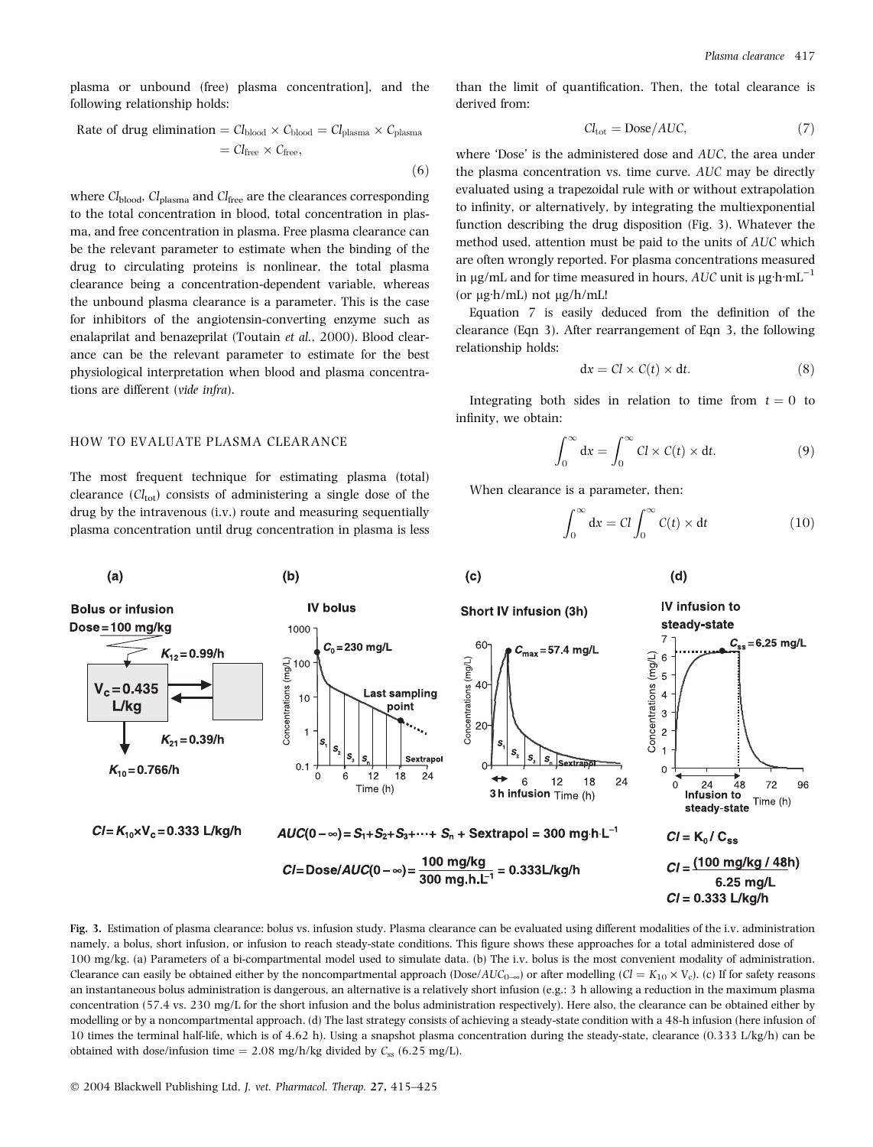plasma or unbound (free) plasma concentration], and the following relationship holds:

Rate of drug elimination =  $Cl_{\text{blood}} \times C_{\text{blood}} = Cl_{\text{plasma}} \times C_{\text{plasma}}$  $= Cl_{\text{free}} \times C_{\text{free}}$  $(6)$ 

where Cl<sub>blood</sub>, Cl<sub>plasma</sub> and Cl<sub>free</sub> are the clearances corresponding to the total concentration in blood, total concentration in plasma, and free concentration in plasma. Free plasma clearance can be the relevant parameter to estimate when the binding of the drug to circulating proteins is nonlinear, the total plasma clearance being a concentration-dependent variable, whereas the unbound plasma clearance is a parameter. This is the case for inhibitors of the angiotensin-converting enzyme such as enalaprilat and benazeprilat (Toutain et al., 2000). Blood clearance can be the relevant parameter to estimate for the best physiological interpretation when blood and plasma concentrations are different (vide infra).

#### HOW TO EVALUATE PLASMA CLEARANCE

The most frequent technique for estimating plasma (total) clearance  $(Cl<sub>tot</sub>)$  consists of administering a single dose of the drug by the intravenous (i.v.) route and measuring sequentially plasma concentration until drug concentration in plasma is less than the limit of quantification. Then, the total clearance is derived from:

$$
Cl_{\text{tot}} = \text{Dose}/AUC,\tag{7}
$$

where 'Dose' is the administered dose and AUC, the area under the plasma concentration vs. time curve. AUC may be directly evaluated using a trapezoidal rule with or without extrapolation to infinity, or alternatively, by integrating the multiexponential function describing the drug disposition (Fig. 3). Whatever the method used, attention must be paid to the units of AUC which are often wrongly reported. For plasma concentrations measured in  $\mu$ g/mL and for time measured in hours, AUC unit is  $\mu$ g·h·mL<sup>-1</sup> (or  $\mu$ g·h/mL) not  $\mu$ g/h/mL!

Equation 7 is easily deduced from the definition of the clearance (Eqn 3). After rearrangement of Eqn 3, the following relationship holds:

$$
dx = Cl \times C(t) \times dt. \tag{8}
$$

Integrating both sides in relation to time from  $t = 0$  to infinity, we obtain:

$$
\int_0^\infty dx = \int_0^\infty Cl \times C(t) \times dt.
$$
 (9)

When clearance is a parameter, then:

$$
\int_0^\infty dx = Cl \int_0^\infty C(t) \times dt \tag{10}
$$



Fig. 3. Estimation of plasma clearance: bolus vs. infusion study. Plasma clearance can be evaluated using different modalities of the i.v. administration namely, a bolus, short infusion, or infusion to reach steady-state conditions. This figure shows these approaches for a total administered dose of 100 mg/kg. (a) Parameters of a bi-compartmental model used to simulate data. (b) The i.v. bolus is the most convenient modality of administration. Clearance can easily be obtained either by the noncompartmental approach (Dose/AUC<sub>0–∞</sub>) or after modelling (Cl = K<sub>10</sub> × V<sub>c</sub>). (c) If for safety reasons an instantaneous bolus administration is dangerous, an alternative is a relatively short infusion (e.g.: 3 h allowing a reduction in the maximum plasma concentration (57.4 vs. 230 mg/L for the short infusion and the bolus administration respectively). Here also, the clearance can be obtained either by modelling or by a noncompartmental approach. (d) The last strategy consists of achieving a steady-state condition with a 48-h infusion (here infusion of 10 times the terminal half-life, which is of 4.62 h). Using a snapshot plasma concentration during the steady-state, clearance (0.333 L/kg/h) can be obtained with dose/infusion time = 2.08 mg/h/kg divided by  $C_{ss}$  (6.25 mg/L).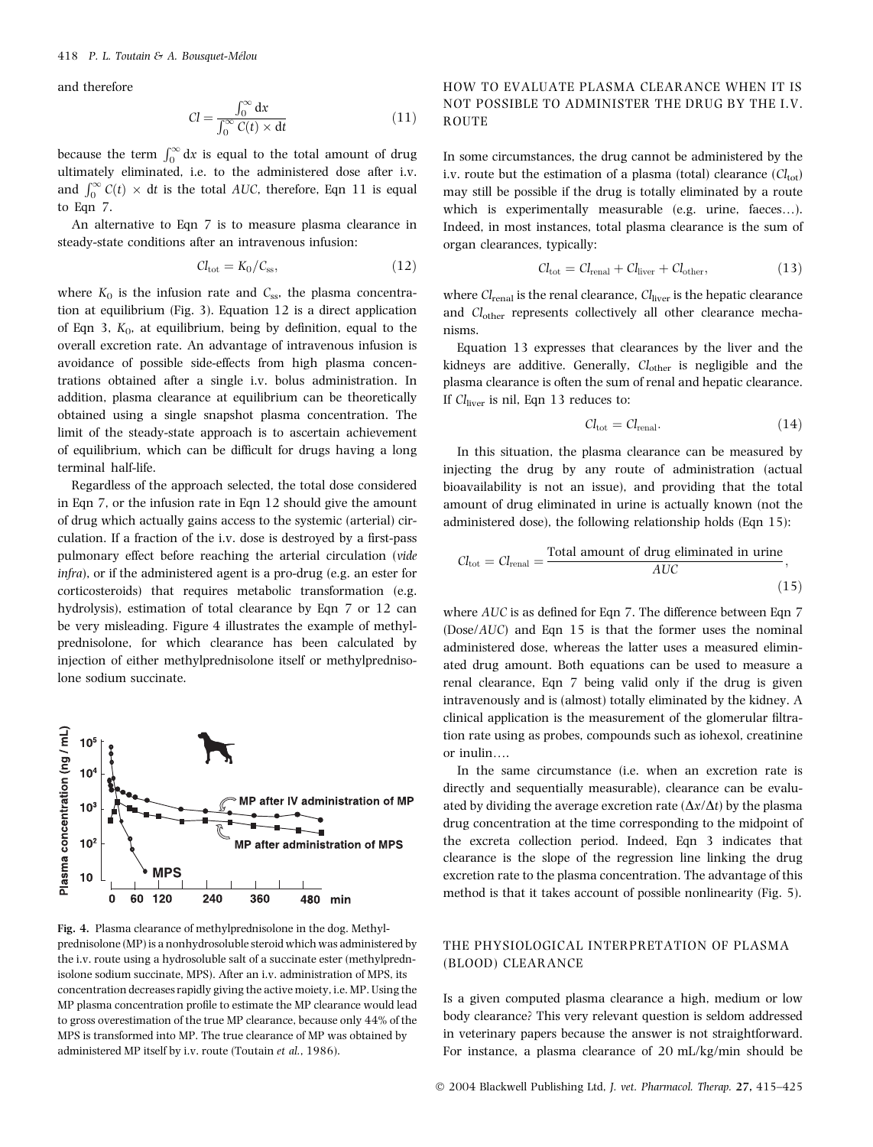and therefore

$$
Cl = \frac{\int_0^\infty dx}{\int_0^\infty C(t) \times dt}
$$
\n(11)

because the term  $\int_0^\infty dx$  is equal to the total amount of drug ultimately eliminated, i.e. to the administered dose after i.v. and  $\int_0^\infty C(t) \times dt$  is the total AUC, therefore, Eqn 11 is equal to Eqn 7.

An alternative to Eqn 7 is to measure plasma clearance in steady-state conditions after an intravenous infusion:

$$
Cl_{\text{tot}} = K_0 / C_{\text{ss}},\tag{12}
$$

where  $K_0$  is the infusion rate and  $C_{ss}$ , the plasma concentration at equilibrium (Fig. 3). Equation 12 is a direct application of Eqn 3,  $K_0$ , at equilibrium, being by definition, equal to the overall excretion rate. An advantage of intravenous infusion is avoidance of possible side-effects from high plasma concentrations obtained after a single i.v. bolus administration. In addition, plasma clearance at equilibrium can be theoretically obtained using a single snapshot plasma concentration. The limit of the steady-state approach is to ascertain achievement of equilibrium, which can be difficult for drugs having a long terminal half-life.

Regardless of the approach selected, the total dose considered in Eqn 7, or the infusion rate in Eqn 12 should give the amount of drug which actually gains access to the systemic (arterial) circulation. If a fraction of the i.v. dose is destroyed by a first-pass pulmonary effect before reaching the arterial circulation (vide infra), or if the administered agent is a pro-drug (e.g. an ester for corticosteroids) that requires metabolic transformation (e.g. hydrolysis), estimation of total clearance by Eqn 7 or 12 can be very misleading. Figure 4 illustrates the example of methylprednisolone, for which clearance has been calculated by injection of either methylprednisolone itself or methylprednisolone sodium succinate.



Fig. 4. Plasma clearance of methylprednisolone in the dog. Methylprednisolone (MP) is a nonhydrosoluble steroid which was administered by the i.v. route using a hydrosoluble salt of a succinate ester (methylprednisolone sodium succinate, MPS). After an i.v. administration of MPS, its concentration decreases rapidly giving the active moiety, i.e. MP. Using the MP plasma concentration profile to estimate the MP clearance would lead to gross overestimation of the true MP clearance, because only 44% of the MPS is transformed into MP. The true clearance of MP was obtained by administered MP itself by i.v. route (Toutain et al., 1986).

## HOW TO EVALUATE PLASMA CLEARANCE WHEN IT IS NOT POSSIBLE TO ADMINISTER THE DRUG BY THE I.V. ROUTE

In some circumstances, the drug cannot be administered by the i.v. route but the estimation of a plasma (total) clearance  $(Cl<sub>tot</sub>)$ may still be possible if the drug is totally eliminated by a route which is experimentally measurable (e.g. urine, faeces…). Indeed, in most instances, total plasma clearance is the sum of organ clearances, typically:

$$
Cl_{\text{tot}} = Cl_{\text{real}} + Cl_{\text{liver}} + Cl_{\text{other}},\tag{13}
$$

where  $Cl_{\text{real}}$  is the renal clearance,  $Cl_{\text{liver}}$  is the hepatic clearance and Cl<sub>other</sub> represents collectively all other clearance mechanisms.

Equation 13 expresses that clearances by the liver and the kidneys are additive. Generally,  $Cl<sub>other</sub>$  is negligible and the plasma clearance is often the sum of renal and hepatic clearance. If Cl<sub>liver</sub> is nil, Eqn 13 reduces to:

$$
Cl_{\text{tot}} = Cl_{\text{real}}.\tag{14}
$$

In this situation, the plasma clearance can be measured by injecting the drug by any route of administration (actual bioavailability is not an issue), and providing that the total amount of drug eliminated in urine is actually known (not the administered dose), the following relationship holds (Eqn 15):

$$
Cl_{\text{tot}} = Cl_{\text{real}} = \frac{\text{Total amount of drug eliminated in urine}}{AUC},
$$
\n(15)

where AUC is as defined for Eqn 7. The difference between Eqn 7 (Dose/AUC) and Eqn 15 is that the former uses the nominal administered dose, whereas the latter uses a measured eliminated drug amount. Both equations can be used to measure a renal clearance, Eqn 7 being valid only if the drug is given intravenously and is (almost) totally eliminated by the kidney. A clinical application is the measurement of the glomerular filtration rate using as probes, compounds such as iohexol, creatinine or inulin….

In the same circumstance (i.e. when an excretion rate is directly and sequentially measurable), clearance can be evaluated by dividing the average excretion rate  $(\Delta x/\Delta t)$  by the plasma drug concentration at the time corresponding to the midpoint of the excreta collection period. Indeed, Eqn 3 indicates that clearance is the slope of the regression line linking the drug excretion rate to the plasma concentration. The advantage of this method is that it takes account of possible nonlinearity (Fig. 5).

## THE PHYSIOLOGICAL INTERPRETATION OF PLASMA (BLOOD) CLEARANCE

Is a given computed plasma clearance a high, medium or low body clearance? This very relevant question is seldom addressed in veterinary papers because the answer is not straightforward. For instance, a plasma clearance of 20 mL/kg/min should be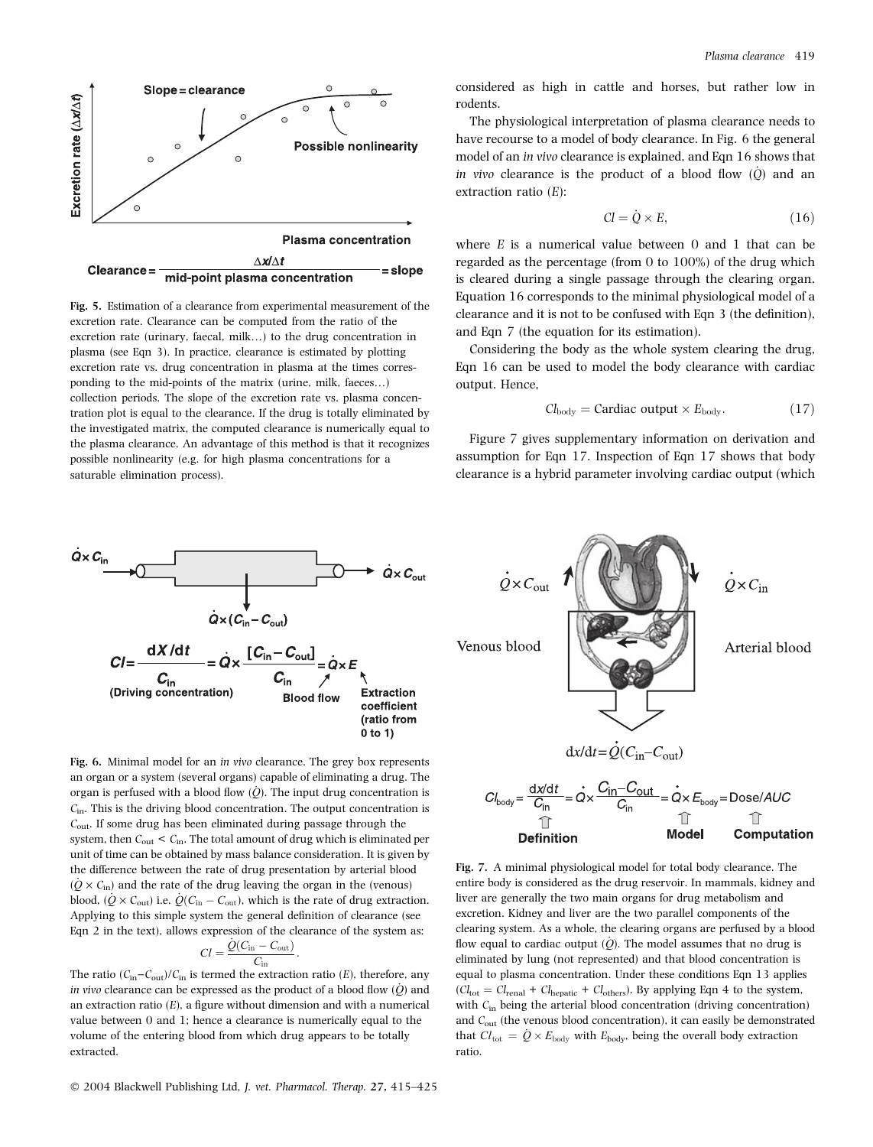

Fig. 5. Estimation of a clearance from experimental measurement of the excretion rate. Clearance can be computed from the ratio of the excretion rate (urinary, faecal, milk…) to the drug concentration in plasma (see Eqn 3). In practice, clearance is estimated by plotting excretion rate vs. drug concentration in plasma at the times corresponding to the mid-points of the matrix (urine, milk, faeces…) collection periods. The slope of the excretion rate vs. plasma concentration plot is equal to the clearance. If the drug is totally eliminated by the investigated matrix, the computed clearance is numerically equal to the plasma clearance. An advantage of this method is that it recognizes possible nonlinearity (e.g. for high plasma concentrations for a saturable elimination process).



Fig. 6. Minimal model for an in vivo clearance. The grey box represents an organ or a system (several organs) capable of eliminating a drug. The organ is perfused with a blood flow  $(Q)$ . The input drug concentration is  $C_{\mathrm{in}}$  . This is the driving blood concentration. The output concentration is Cout. If some drug has been eliminated during passage through the system, then  $C_{\text{out}} < C_{\text{in}}$ . The total amount of drug which is eliminated per unit of time can be obtained by mass balance consideration. It is given by the difference between the rate of drug presentation by arterial blood  $(\dot{Q} \times C_{\text{in}})$  and the rate of the drug leaving the organ in the (venous) blood,  $(Q \times C_{\text{out}})$  i.e.  $Q(C_{\text{in}} - C_{\text{out}})$ , which is the rate of drug extraction. Applying to this simple system the general definition of clearance (see Eqn 2 in the text), allows expression of the clearance of the system as: e)

$$
Cl = \frac{\dot{Q}(C_{\text{in}} - C_{\text{out}})}{C_{\text{in}}}
$$

:

The ratio  $(C_{in}-C_{out})/C_{in}$  is termed the extraction ratio (E), therefore, any in vivo clearance can be expressed as the product of a blood flow  $(O)$  and an extraction ratio  $(E)$ , a figure without dimension and with a numerical value between 0 and 1; hence a clearance is numerically equal to the volume of the entering blood from which drug appears to be totally extracted.

2004 Blackwell Publishing Ltd, J. vet. Pharmacol. Therap. 27, 415–425

considered as high in cattle and horses, but rather low in rodents.

The physiological interpretation of plasma clearance needs to have recourse to a model of body clearance. In Fig. 6 the general model of an in vivo clearance is explained, and Eqn 16 shows that in vivo clearance is the product of a blood flow  $(Q)$  and an extraction ratio (E):

$$
Cl = \dot{Q} \times E,\tag{16}
$$

where  $E$  is a numerical value between  $0$  and  $1$  that can be regarded as the percentage (from 0 to 100%) of the drug which is cleared during a single passage through the clearing organ. Equation 16 corresponds to the minimal physiological model of a clearance and it is not to be confused with Eqn 3 (the definition), and Eqn 7 (the equation for its estimation).

Considering the body as the whole system clearing the drug, Eqn 16 can be used to model the body clearance with cardiac output. Hence,

$$
Cl_{\text{body}} = \text{Cardiac output} \times E_{\text{body}}.\tag{17}
$$

Figure 7 gives supplementary information on derivation and assumption for Eqn 17. Inspection of Eqn 17 shows that body clearance is a hybrid parameter involving cardiac output (which



Fig. 7. A minimal physiological model for total body clearance. The entire body is considered as the drug reservoir. In mammals, kidney and liver are generally the two main organs for drug metabolism and excretion. Kidney and liver are the two parallel components of the clearing system. As a whole, the clearing organs are perfused by a blood flow equal to cardiac output  $(Q)$ . The model assumes that no drug is eliminated by lung (not represented) and that blood concentration is equal to plasma concentration. Under these conditions Eqn 13 applies  $(Cl_{\text{tot}} = Cl_{\text{renal}} + Cl_{\text{hepatic}} + Cl_{\text{others}})$ . By applying Eqn 4 to the system, with  $C_{\text{in}}$  being the arterial blood concentration (driving concentration) and  $C_{\text{out}}$  (the venous blood concentration), it can easily be demonstrated that  $Cl_{\text{tot}} = \dot{Q} \times E_{\text{body}}$  with  $E_{\text{body}}$ , being the overall body extraction ratio.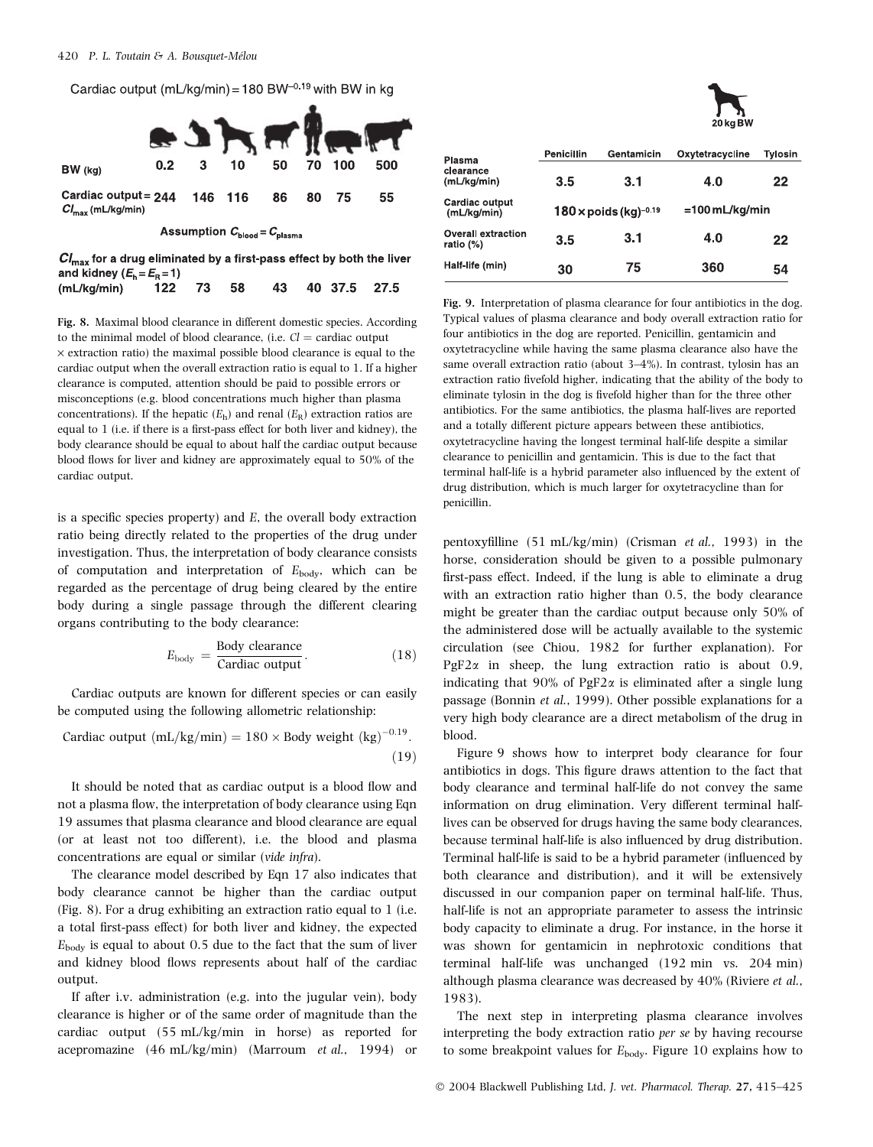Cardiac output (mL/kg/min) = 180 BW<sup>-0.19</sup> with BW in kg



 $Cl_{\text{max}}$  for a drug eliminated by a first-pass effect by both the liver and kidney ( $E_h = E_R = 1$ ) 40 37.5 27.5 (mL/kg/min) 122 73 58 43

Fig. 8. Maximal blood clearance in different domestic species. According to the minimal model of blood clearance, (i.e.  $Cl =$  cardiac output  $\times$  extraction ratio) the maximal possible blood clearance is equal to the cardiac output when the overall extraction ratio is equal to 1. If a higher clearance is computed, attention should be paid to possible errors or misconceptions (e.g. blood concentrations much higher than plasma concentrations). If the hepatic  $(E_h)$  and renal  $(E_R)$  extraction ratios are equal to 1 (i.e. if there is a first-pass effect for both liver and kidney), the body clearance should be equal to about half the cardiac output because blood flows for liver and kidney are approximately equal to 50% of the cardiac output.

is a specific species property) and  $E$ , the overall body extraction ratio being directly related to the properties of the drug under investigation. Thus, the interpretation of body clearance consists of computation and interpretation of  $E_{\text{body}}$ , which can be regarded as the percentage of drug being cleared by the entire body during a single passage through the different clearing organs contributing to the body clearance:

$$
E_{\text{body}} = \frac{\text{Body clearance}}{\text{Cardiac output}}.\tag{18}
$$

Cardiac outputs are known for different species or can easily be computed using the following allometric relationship:

Cardiac output (mL/kg/min) = 
$$
180 \times
$$
 Body weight (kg)<sup>-0.19</sup>.  
(19)

It should be noted that as cardiac output is a blood flow and not a plasma flow, the interpretation of body clearance using Eqn 19 assumes that plasma clearance and blood clearance are equal (or at least not too different), i.e. the blood and plasma concentrations are equal or similar (vide infra).

The clearance model described by Eqn 17 also indicates that body clearance cannot be higher than the cardiac output (Fig. 8). For a drug exhibiting an extraction ratio equal to 1 (i.e. a total first-pass effect) for both liver and kidney, the expected  $E_{\text{body}}$  is equal to about 0.5 due to the fact that the sum of liver and kidney blood flows represents about half of the cardiac output.

If after i.v. administration (e.g. into the jugular vein), body clearance is higher or of the same order of magnitude than the cardiac output (55 mL/kg/min in horse) as reported for acepromazine (46 mL/kg/min) (Marroum et al., 1994) or



| Plasma<br><b>clearance</b><br>mL/kg/min) | Penicillin | Gentamicin                               | Oxytetracycline  | Tylosin |  |
|------------------------------------------|------------|------------------------------------------|------------------|---------|--|
|                                          | 3.5        | 3.1                                      | 4.0              | 22      |  |
| Cardiac output<br>(mL/kg/min)            |            | $180 \times$ poids (kg) <sup>-0.19</sup> | $=100$ mL/kg/min |         |  |
| <b>Overall extraction</b><br>atio (%)    | 3.5        | 3.1                                      | 4.0              | 22      |  |
| <b>Half-life (min)</b>                   | 30         | 75                                       | 360              | 54      |  |

Fig. 9. Interpretation of plasma clearance for four antibiotics in the dog. Typical values of plasma clearance and body overall extraction ratio for four antibiotics in the dog are reported. Penicillin, gentamicin and oxytetracycline while having the same plasma clearance also have the same overall extraction ratio (about 3–4%). In contrast, tylosin has an extraction ratio fivefold higher, indicating that the ability of the body to eliminate tylosin in the dog is fivefold higher than for the three other antibiotics. For the same antibiotics, the plasma half-lives are reported and a totally different picture appears between these antibiotics, oxytetracycline having the longest terminal half-life despite a similar clearance to penicillin and gentamicin. This is due to the fact that terminal half-life is a hybrid parameter also influenced by the extent of drug distribution, which is much larger for oxytetracycline than for penicillin.

pentoxyfilline (51 mL/kg/min) (Crisman et al., 1993) in the horse, consideration should be given to a possible pulmonary first-pass effect. Indeed, if the lung is able to eliminate a drug with an extraction ratio higher than 0.5, the body clearance might be greater than the cardiac output because only 50% of the administered dose will be actually available to the systemic circulation (see Chiou, 1982 for further explanation). For  $PgF2\alpha$  in sheep, the lung extraction ratio is about 0.9, indicating that 90% of  $PgF2\alpha$  is eliminated after a single lung passage (Bonnin et al., 1999). Other possible explanations for a very high body clearance are a direct metabolism of the drug in blood.

Figure 9 shows how to interpret body clearance for four antibiotics in dogs. This figure draws attention to the fact that body clearance and terminal half-life do not convey the same information on drug elimination. Very different terminal halflives can be observed for drugs having the same body clearances, because terminal half-life is also influenced by drug distribution. Terminal half-life is said to be a hybrid parameter (influenced by both clearance and distribution), and it will be extensively discussed in our companion paper on terminal half-life. Thus, half-life is not an appropriate parameter to assess the intrinsic body capacity to eliminate a drug. For instance, in the horse it was shown for gentamicin in nephrotoxic conditions that terminal half-life was unchanged (192 min vs. 204 min) although plasma clearance was decreased by 40% (Riviere et al., 1983).

The next step in interpreting plasma clearance involves interpreting the body extraction ratio per se by having recourse to some breakpoint values for  $E_{\text{body}}$ . Figure 10 explains how to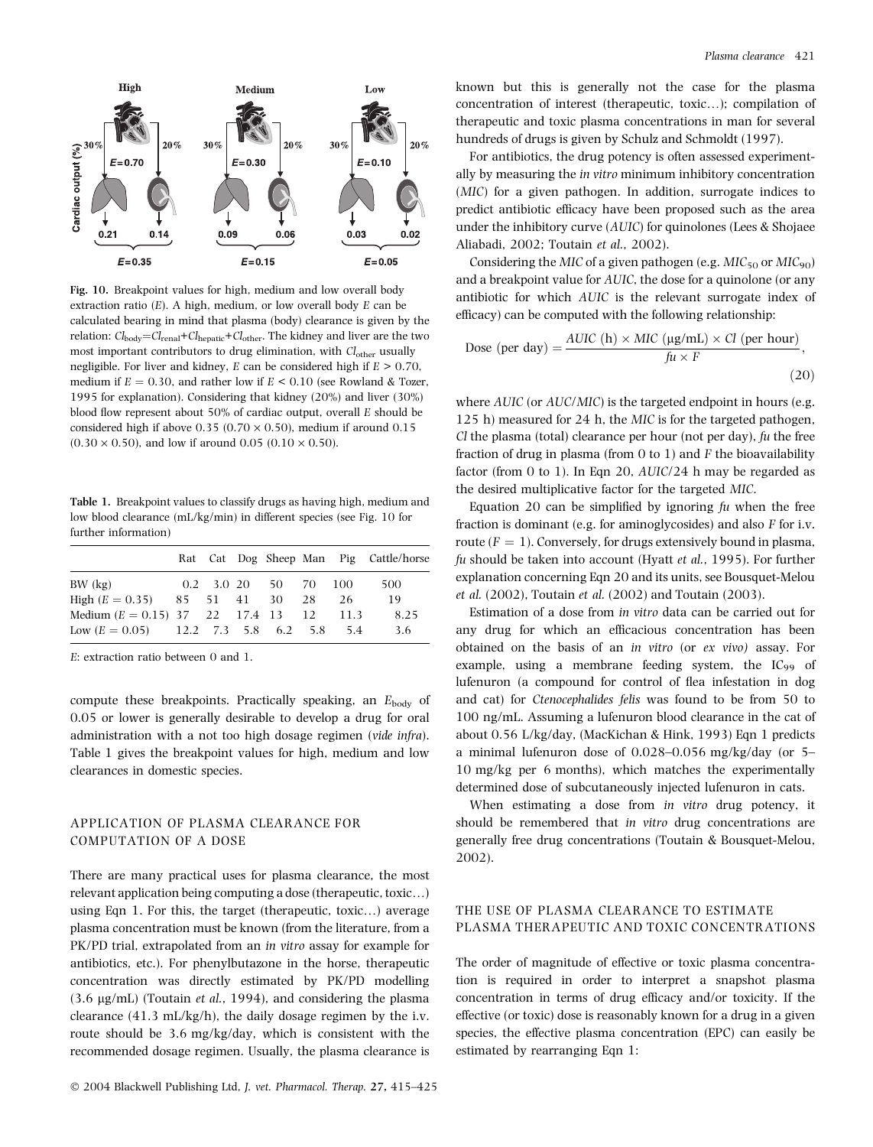

Fig. 10. Breakpoint values for high, medium and low overall body extraction ratio (E). A high, medium, or low overall body E can be calculated bearing in mind that plasma (body) clearance is given by the relation:  $Cl_{body} = Cl_{\text{renal}} + Cl_{\text{hepatic}} + Cl_{\text{other}}$ . The kidney and liver are the two most important contributors to drug elimination, with Cl<sub>other</sub> usually negligible. For liver and kidney, E can be considered high if  $E > 0.70$ , medium if  $E = 0.30$ , and rather low if  $E \le 0.10$  (see Rowland & Tozer, 1995 for explanation). Considering that kidney (20%) and liver (30%) blood flow represent about 50% of cardiac output, overall E should be considered high if above 0.35 (0.70  $\times$  0.50), medium if around 0.15  $(0.30 \times 0.50)$ , and low if around  $0.05$   $(0.10 \times 0.50)$ .

Table 1. Breakpoint values to classify drugs as having high, medium and low blood clearance (mL/kg/min) in different species (see Fig. 10 for further information)

|                                           |  |                      |     | Rat Cat Dog Sheep Man Pig Cattle/horse |
|-------------------------------------------|--|----------------------|-----|----------------------------------------|
| $BW$ $(kg)$                               |  | 0.2 3.0 20 50 70 100 |     | 500                                    |
| High $(E = 0.35)$ 85 51 41 30 28          |  |                      | 26  | 19                                     |
| Medium $(E = 0.15)$ 37 22 17.4 13 12 11.3 |  |                      |     | 8.25                                   |
| Low $(E = 0.05)$ 12.2 7.3 5.8 6.2 5.8     |  |                      | 5.4 | 3.6                                    |

E: extraction ratio between 0 and 1.

compute these breakpoints. Practically speaking, an  $E_{\text{body}}$  of 0.05 or lower is generally desirable to develop a drug for oral administration with a not too high dosage regimen (vide infra). Table 1 gives the breakpoint values for high, medium and low clearances in domestic species.

## APPLICATION OF PLASMA CLEARANCE FOR COMPUTATION OF A DOSE

There are many practical uses for plasma clearance, the most relevant application being computing a dose (therapeutic, toxic…) using Eqn 1. For this, the target (therapeutic, toxic…) average plasma concentration must be known (from the literature, from a PK/PD trial, extrapolated from an in vitro assay for example for antibiotics, etc.). For phenylbutazone in the horse, therapeutic concentration was directly estimated by PK/PD modelling (3.6  $\mu$ g/mL) (Toutain et al., 1994), and considering the plasma clearance (41.3 mL/kg/h), the daily dosage regimen by the i.v. route should be 3.6 mg/kg/day, which is consistent with the recommended dosage regimen. Usually, the plasma clearance is known but this is generally not the case for the plasma concentration of interest (therapeutic, toxic…); compilation of therapeutic and toxic plasma concentrations in man for several hundreds of drugs is given by Schulz and Schmoldt (1997).

For antibiotics, the drug potency is often assessed experimentally by measuring the in vitro minimum inhibitory concentration (MIC) for a given pathogen. In addition, surrogate indices to predict antibiotic efficacy have been proposed such as the area under the inhibitory curve (AUIC) for quinolones (Lees & Shojaee Aliabadi, 2002; Toutain et al., 2002).

Considering the MIC of a given pathogen (e.g.  $MIC<sub>50</sub>$  or  $MIC<sub>90</sub>$ ) and a breakpoint value for AUIC, the dose for a quinolone (or any antibiotic for which AUIC is the relevant surrogate index of efficacy) can be computed with the following relationship:

Dose (per day) = 
$$
\frac{AUIC \text{ (h)} \times MIC \text{ (µg/mL)} \times Cl \text{ (per hour)}}{fu \times F},
$$
\n(20)

where AUIC (or AUC/MIC) is the targeted endpoint in hours (e.g. 125 h) measured for 24 h, the MIC is for the targeted pathogen,  $Cl$  the plasma (total) clearance per hour (not per day),  $fu$  the free fraction of drug in plasma (from  $0$  to  $1$ ) and  $F$  the bioavailability factor (from 0 to 1). In Eqn 20, AUIC/24 h may be regarded as the desired multiplicative factor for the targeted MIC.

Equation 20 can be simplified by ignoring  $fu$  when the free fraction is dominant (e.g. for aminoglycosides) and also F for i.v. route  $(F = 1)$ . Conversely, for drugs extensively bound in plasma, fu should be taken into account (Hyatt et al., 1995). For further explanation concerning Eqn 20 and its units, see Bousquet-Melou et al. (2002), Toutain et al. (2002) and Toutain (2003).

Estimation of a dose from in vitro data can be carried out for any drug for which an efficacious concentration has been obtained on the basis of an in vitro (or ex vivo) assay. For example, using a membrane feeding system, the  $IC_{99}$  of lufenuron (a compound for control of flea infestation in dog and cat) for Ctenocephalides felis was found to be from 50 to 100 ng/mL. Assuming a lufenuron blood clearance in the cat of about 0.56 L/kg/day, (MacKichan & Hink, 1993) Eqn 1 predicts a minimal lufenuron dose of 0.028–0.056 mg/kg/day (or 5– 10 mg/kg per 6 months), which matches the experimentally determined dose of subcutaneously injected lufenuron in cats.

When estimating a dose from in vitro drug potency, it should be remembered that in vitro drug concentrations are generally free drug concentrations (Toutain & Bousquet-Melou, 2002).

## THE USE OF PLASMA CLEARANCE TO ESTIMATE PLASMA THERAPEUTIC AND TOXIC CONCENTRATIONS

The order of magnitude of effective or toxic plasma concentration is required in order to interpret a snapshot plasma concentration in terms of drug efficacy and/or toxicity. If the effective (or toxic) dose is reasonably known for a drug in a given species, the effective plasma concentration (EPC) can easily be estimated by rearranging Eqn 1: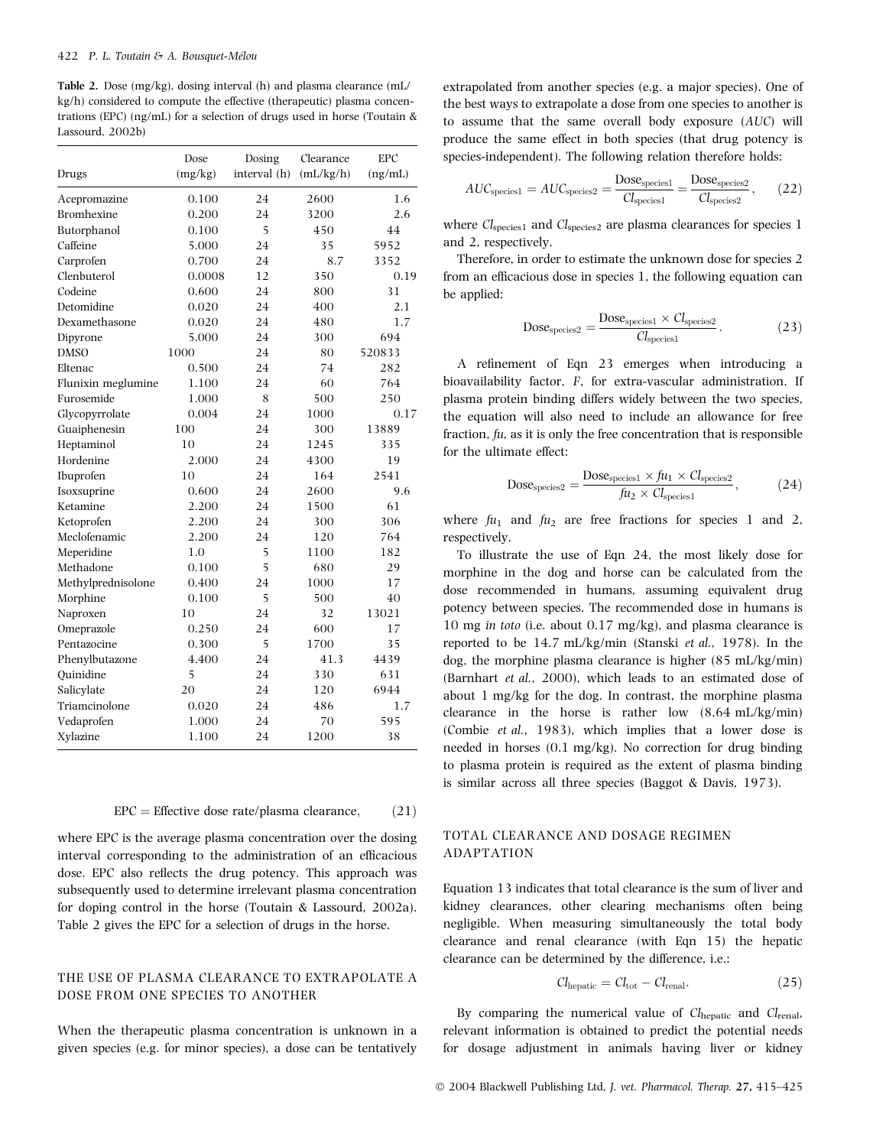Table 2. Dose (mg/kg), dosing interval (h) and plasma clearance (mL/ kg/h) considered to compute the effective (therapeutic) plasma concentrations (EPC) (ng/mL) for a selection of drugs used in horse (Toutain & Lassourd, 2002b)

|                    | Dose    | Dosing       | Clearance | EPC     |
|--------------------|---------|--------------|-----------|---------|
| Drugs              | (mg/kg) | interval (h) | (mL/kg/h) | (ng/mL) |
| Acepromazine       | 0.100   | 24           | 2600      | 1.6     |
| Bromhexine         | 0.200   | 24           | 3200      | 2.6     |
| Butorphanol        | 0.100   | 5            | 450       | 44      |
| Caffeine           | 5.000   | 24           | 35        | 5952    |
| Carprofen          | 0.700   | 24           | 8.7       | 3352    |
| Clenbuterol        | 0.0008  | 12           | 350       | 0.19    |
| Codeine            | 0.600   | 24           | 800       | 31      |
| Detomidine         | 0.020   | 24           | 400       | 2.1     |
| Dexamethasone      | 0.020   | 24           | 480       | 1.7     |
| Dipyrone           | 5.000   | 24           | 300       | 694     |
| <b>DMSO</b>        | 1000    | 24           | 80        | 520833  |
| Eltenac            | 0.500   | 24           | 74        | 282     |
| Flunixin meglumine | 1.100   | 24           | 60        | 764     |
| Furosemide         | 1.000   | 8            | 500       | 250     |
| Glycopyrrolate     | 0.004   | 24           | 1000      | 0.17    |
| Guaiphenesin       | 100     | 24           | 300       | 13889   |
| Heptaminol         | 10      | 24           | 1245      | 335     |
| Hordenine          | 2.000   | 24           | 4300      | 19      |
| Ibuprofen          | 10      | 24           | 164       | 2541    |
| Isoxsuprine        | 0.600   | 24           | 2600      | 9.6     |
| Ketamine           | 2.200   | 24           | 1500      | 61      |
| Ketoprofen         | 2.200   | 24           | 300       | 306     |
| Meclofenamic       | 2.200   | 24           | 120       | 764     |
| Meperidine         | 1.0     | 5            | 1100      | 182     |
| Methadone          | 0.100   | 5            | 680       | 29      |
| Methylprednisolone | 0.400   | 24           | 1000      | 17      |
| Morphine           | 0.100   | 5            | 500       | 40      |
| Naproxen           | 10      | 24           | 32        | 13021   |
| Omeprazole         | 0.250   | 24           | 600       | 17      |
| Pentazocine        | 0.300   | 5            | 1700      | 35      |
| Phenylbutazone     | 4.400   | 24           | 41.3      | 4439    |
| Ouinidine          | 5       | 24           | 330       | 631     |
| Salicylate         | 20      | 24           | 120       | 6944    |
| Triamcinolone      | 0.020   | 24           | 486       | 1.7     |
| Vedaprofen         | 1.000   | 24           | 70        | 595     |
| Xylazine           | 1.100   | 24           | 1200      | 38      |

#### $EPC =$  Effective dose rate/plasma clearance, (21)

where EPC is the average plasma concentration over the dosing interval corresponding to the administration of an efficacious dose. EPC also reflects the drug potency. This approach was subsequently used to determine irrelevant plasma concentration for doping control in the horse (Toutain & Lassourd, 2002a). Table 2 gives the EPC for a selection of drugs in the horse.

## THE USE OF PLASMA CLEARANCE TO EXTRAPOLATE A DOSE FROM ONE SPECIES TO ANOTHER

When the therapeutic plasma concentration is unknown in a given species (e.g. for minor species), a dose can be tentatively extrapolated from another species (e.g. a major species). One of the best ways to extrapolate a dose from one species to another is to assume that the same overall body exposure (AUC) will produce the same effect in both species (that drug potency is species-independent). The following relation therefore holds:

$$
AUC_{\text{species1}} = AUC_{\text{species2}} = \frac{\text{Dose}_{\text{species1}}}{Cl_{\text{species1}}} = \frac{\text{Dose}_{\text{species2}}}{Cl_{\text{species2}}},\qquad(22)
$$

where  $Cl<sub>species1</sub>$  and  $Cl<sub>species2</sub>$  are plasma clearances for species 1 and 2, respectively.

Therefore, in order to estimate the unknown dose for species 2 from an efficacious dose in species 1, the following equation can be applied:

$$
Dose_{species2} = \frac{Dose_{species1} \times Cl_{species2}}{Cl_{species1}}.
$$
 (23)

A refinement of Eqn 23 emerges when introducing a bioavailability factor, F, for extra-vascular administration. If plasma protein binding differs widely between the two species, the equation will also need to include an allowance for free fraction, fu, as it is only the free concentration that is responsible for the ultimate effect:

$$
Dose_{species2} = \frac{Dose_{species1} \times fu_1 \times Cl_{species2}}{fu_2 \times Cl_{species1}},
$$
 (24)

where  $fu_1$  and  $fu_2$  are free fractions for species 1 and 2, respectively.

To illustrate the use of Eqn 24, the most likely dose for morphine in the dog and horse can be calculated from the dose recommended in humans, assuming equivalent drug potency between species. The recommended dose in humans is 10 mg in toto (i.e. about 0.17 mg/kg), and plasma clearance is reported to be 14.7 mL/kg/min (Stanski et al., 1978). In the dog, the morphine plasma clearance is higher (85 mL/kg/min) (Barnhart et al., 2000), which leads to an estimated dose of about 1 mg/kg for the dog. In contrast, the morphine plasma clearance in the horse is rather low (8.64 mL/kg/min) (Combie et al., 1983), which implies that a lower dose is needed in horses (0.1 mg/kg). No correction for drug binding to plasma protein is required as the extent of plasma binding is similar across all three species (Baggot & Davis, 1973).

## TOTAL CLEARANCE AND DOSAGE REGIMEN ADAPTATION

Equation 13 indicates that total clearance is the sum of liver and kidney clearances, other clearing mechanisms often being negligible. When measuring simultaneously the total body clearance and renal clearance (with Eqn 15) the hepatic clearance can be determined by the difference, i.e.:

$$
Cl_{\text{hepatic}} = Cl_{\text{tot}} - Cl_{\text{renal}}.\tag{25}
$$

By comparing the numerical value of  $Cl<sub>hepatic</sub>$  and  $Cl<sub>renal</sub>$ , relevant information is obtained to predict the potential needs for dosage adjustment in animals having liver or kidney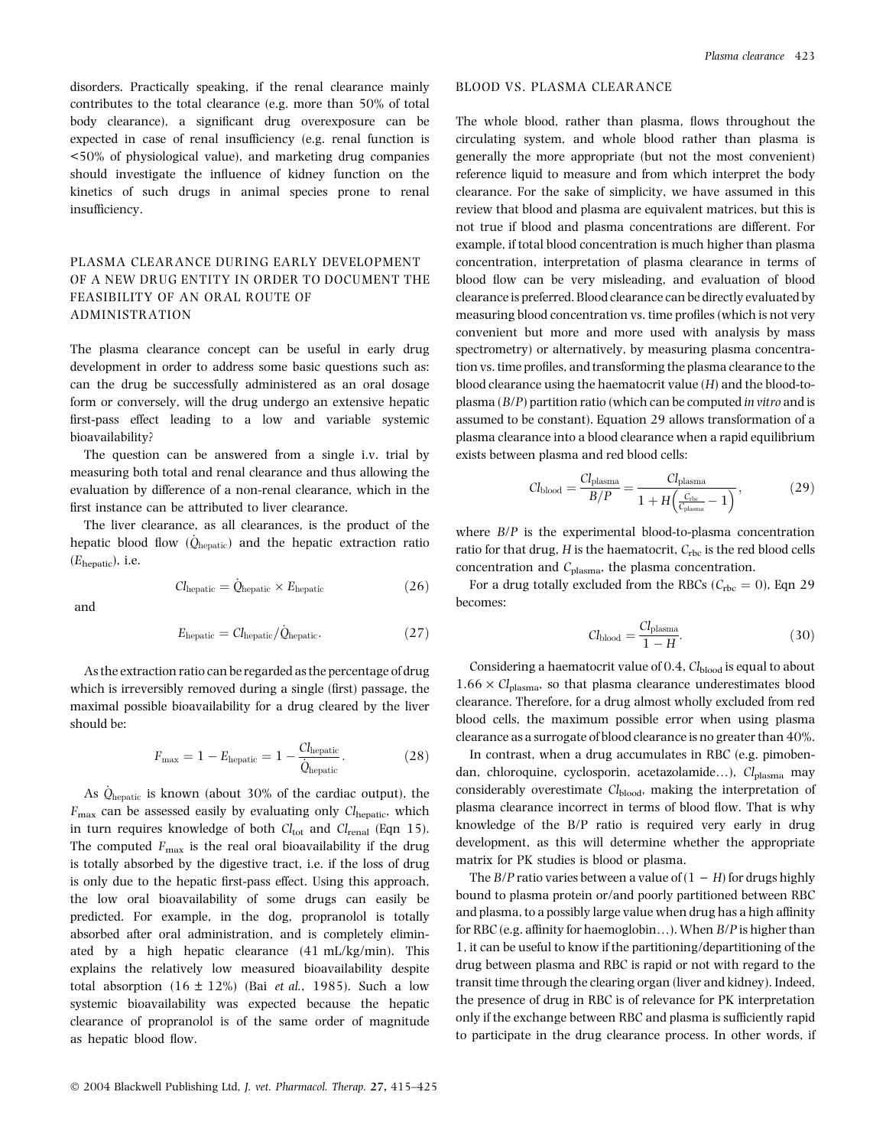disorders. Practically speaking, if the renal clearance mainly contributes to the total clearance (e.g. more than 50% of total body clearance), a significant drug overexposure can be expected in case of renal insufficiency (e.g. renal function is <50% of physiological value), and marketing drug companies should investigate the influence of kidney function on the kinetics of such drugs in animal species prone to renal insufficiency.

# PLASMA CLEARANCE DURING EARLY DEVELOPMENT OF A NEW DRUG ENTITY IN ORDER TO DOCUMENT THE FEASIBILITY OF AN ORAL ROUTE OF ADMINISTRATION

The plasma clearance concept can be useful in early drug development in order to address some basic questions such as: can the drug be successfully administered as an oral dosage form or conversely, will the drug undergo an extensive hepatic first-pass effect leading to a low and variable systemic bioavailability?

The question can be answered from a single i.v. trial by measuring both total and renal clearance and thus allowing the evaluation by difference of a non-renal clearance, which in the first instance can be attributed to liver clearance.

The liver clearance, as all clearances, is the product of the hepatic blood flow  $(Q_{\text{henatic}})$  and the hepatic extraction ratio  $(E_{\text{hepatic}})$ , i.e.

$$
Cl_{\text{hepatic}} = \dot{Q}_{\text{hepatic}} \times E_{\text{hepatic}} \tag{26}
$$

$$
\quad \text{and} \quad
$$

$$
E_{\text{hepatic}} = C l_{\text{hepatic}} / \dot{Q}_{\text{hepatic}}.
$$
 (27)

As the extraction ratio can be regarded as the percentage of drug which is irreversibly removed during a single (first) passage, the maximal possible bioavailability for a drug cleared by the liver should be:

$$
F_{\text{max}} = 1 - E_{\text{hepatic}} = 1 - \frac{C l_{\text{hepatic}}}{\dot{Q}_{\text{hepatic}}}.
$$
 (28)

As  $\dot{Q}_{\text{hepatic}}$  is known (about 30% of the cardiac output), the  $F_{\text{max}}$  can be assessed easily by evaluating only  $Cl_{\text{hepatic}}$ , which in turn requires knowledge of both  $Cl_{\text{tot}}$  and  $Cl_{\text{real}}$  (Eqn 15). The computed  $F_{\text{max}}$  is the real oral bioavailability if the drug is totally absorbed by the digestive tract, i.e. if the loss of drug is only due to the hepatic first-pass effect. Using this approach, the low oral bioavailability of some drugs can easily be predicted. For example, in the dog, propranolol is totally absorbed after oral administration, and is completely eliminated by a high hepatic clearance (41 mL/kg/min). This explains the relatively low measured bioavailability despite total absorption  $(16 \pm 12\%)$  (Bai et al., 1985). Such a low systemic bioavailability was expected because the hepatic clearance of propranolol is of the same order of magnitude as hepatic blood flow.

#### BLOOD VS. PLASMA CLEARANCE

The whole blood, rather than plasma, flows throughout the circulating system, and whole blood rather than plasma is generally the more appropriate (but not the most convenient) reference liquid to measure and from which interpret the body clearance. For the sake of simplicity, we have assumed in this review that blood and plasma are equivalent matrices, but this is not true if blood and plasma concentrations are different. For example, if total blood concentration is much higher than plasma concentration, interpretation of plasma clearance in terms of blood flow can be very misleading, and evaluation of blood clearance is preferred. Blood clearance can be directly evaluated by measuring blood concentration vs. time profiles (which is not very convenient but more and more used with analysis by mass spectrometry) or alternatively, by measuring plasma concentration vs. time profiles, and transforming the plasma clearance to the blood clearance using the haematocrit value (H) and the blood-toplasma (B/P) partition ratio (which can be computed in vitro and is assumed to be constant). Equation 29 allows transformation of a plasma clearance into a blood clearance when a rapid equilibrium exists between plasma and red blood cells:

$$
Cl_{\text{blood}} = \frac{Cl_{\text{plasma}}}{B/P} = \frac{Cl_{\text{plasma}}}{1 + H\left(\frac{C_{\text{the}}}{C_{\text{plasma}}} - 1\right)},\tag{29}
$$

where B/P is the experimental blood-to-plasma concentration ratio for that drug,  $H$  is the haematocrit,  $C_{\text{rbc}}$  is the red blood cells concentration and  $C_{\text{plasma}}$ , the plasma concentration.

For a drug totally excluded from the RBCs ( $C_{\text{rbc}} = 0$ ), Eqn 29 becomes:

$$
Clblood = \frac{Clplasma}{1 - H}.
$$
 (30)

Considering a haematocrit value of  $0.4$ ,  $Cl<sub>blood</sub>$  is equal to about  $1.66 \times Cl<sub>plasma</sub>$ , so that plasma clearance underestimates blood clearance. Therefore, for a drug almost wholly excluded from red blood cells, the maximum possible error when using plasma clearance as a surrogate of blood clearance is no greater than 40%.

In contrast, when a drug accumulates in RBC (e.g. pimobendan, chloroquine, cyclosporin, acetazolamide...), Cl<sub>plasma</sub> may considerably overestimate  $Cl<sub>blood</sub>$ , making the interpretation of plasma clearance incorrect in terms of blood flow. That is why knowledge of the B/P ratio is required very early in drug development, as this will determine whether the appropriate matrix for PK studies is blood or plasma.

The  $B/P$  ratio varies between a value of  $(1 - H)$  for drugs highly bound to plasma protein or/and poorly partitioned between RBC and plasma, to a possibly large value when drug has a high affinity for RBC (e.g. affinity for haemoglobin…). When B/P is higher than 1, it can be useful to know if the partitioning/departitioning of the drug between plasma and RBC is rapid or not with regard to the transit time through the clearing organ (liver and kidney). Indeed, the presence of drug in RBC is of relevance for PK interpretation only if the exchange between RBC and plasma is sufficiently rapid to participate in the drug clearance process. In other words, if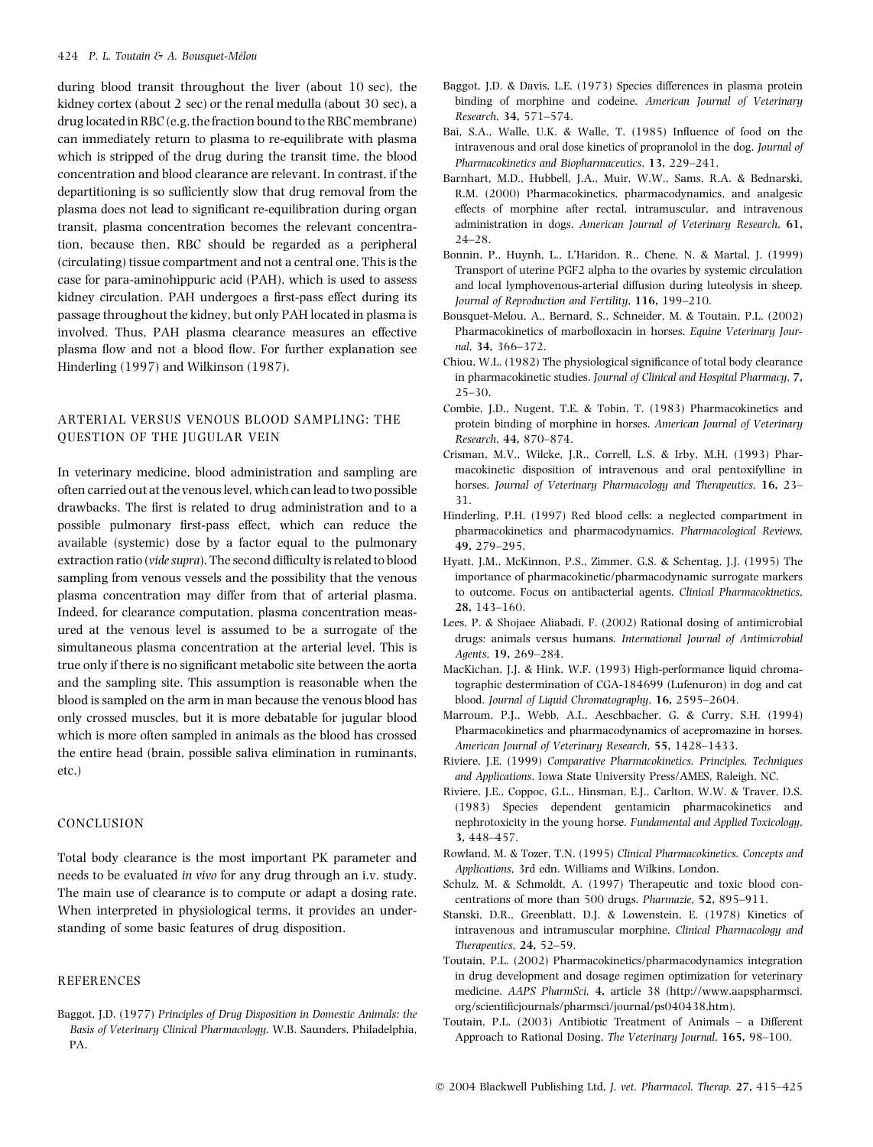#### 424 P. L. Toutain & A. Bousquet-Mélou

during blood transit throughout the liver (about 10 sec), the kidney cortex (about 2 sec) or the renal medulla (about 30 sec), a drug located in RBC (e.g. the fraction bound to the RBC membrane) can immediately return to plasma to re-equilibrate with plasma which is stripped of the drug during the transit time, the blood concentration and blood clearance are relevant. In contrast, if the departitioning is so sufficiently slow that drug removal from the plasma does not lead to significant re-equilibration during organ transit, plasma concentration becomes the relevant concentration, because then, RBC should be regarded as a peripheral (circulating) tissue compartment and not a central one. This is the case for para-aminohippuric acid (PAH), which is used to assess kidney circulation. PAH undergoes a first-pass effect during its passage throughout the kidney, but only PAH located in plasma is involved. Thus, PAH plasma clearance measures an effective plasma flow and not a blood flow. For further explanation see Hinderling (1997) and Wilkinson (1987).

## ARTERIAL VERSUS VENOUS BLOOD SAMPLING: THE QUESTION OF THE JUGULAR VEIN

In veterinary medicine, blood administration and sampling are often carried out at the venous level, which can lead to two possible drawbacks. The first is related to drug administration and to a possible pulmonary first-pass effect, which can reduce the available (systemic) dose by a factor equal to the pulmonary extraction ratio (vide supra). The second difficulty is related to blood sampling from venous vessels and the possibility that the venous plasma concentration may differ from that of arterial plasma. Indeed, for clearance computation, plasma concentration measured at the venous level is assumed to be a surrogate of the simultaneous plasma concentration at the arterial level. This is true only if there is no significant metabolic site between the aorta and the sampling site. This assumption is reasonable when the blood is sampled on the arm in man because the venous blood has only crossed muscles, but it is more debatable for jugular blood which is more often sampled in animals as the blood has crossed the entire head (brain, possible saliva elimination in ruminants, etc.)

#### CONCLUSION

Total body clearance is the most important PK parameter and needs to be evaluated in vivo for any drug through an i.v. study. The main use of clearance is to compute or adapt a dosing rate. When interpreted in physiological terms, it provides an understanding of some basic features of drug disposition.

#### REFERENCES

Baggot, J.D. (1977) Principles of Drug Disposition in Domestic Animals: the Basis of Veterinary Clinical Pharmacology. W.B. Saunders, Philadelphia, PA.

- Baggot, J.D. & Davis, L.E. (1973) Species differences in plasma protein binding of morphine and codeine. American Journal of Veterinary Research, 34, 571–574.
- Bai, S.A., Walle, U.K. & Walle, T. (1985) Influence of food on the intravenous and oral dose kinetics of propranolol in the dog. Journal of Pharmacokinetics and Biopharmaceutics, 13, 229–241.
- Barnhart, M.D., Hubbell, J.A., Muir, W.W., Sams, R.A. & Bednarski, R.M. (2000) Pharmacokinetics, pharmacodynamics, and analgesic effects of morphine after rectal, intramuscular, and intravenous administration in dogs. American Journal of Veterinary Research, 61, 24–28.
- Bonnin, P., Huynh, L., L'Haridon, R., Chene, N. & Martal, J. (1999) Transport of uterine PGF2 alpha to the ovaries by systemic circulation and local lymphovenous-arterial diffusion during luteolysis in sheep. Journal of Reproduction and Fertility, 116, 199–210.
- Bousquet-Melou, A., Bernard, S., Schneider, M. & Toutain, P.L. (2002) Pharmacokinetics of marbofloxacin in horses. Equine Veterinary Journal, 34, 366–372.
- Chiou, W.L. (1982) The physiological significance of total body clearance in pharmacokinetic studies. Journal of Clinical and Hospital Pharmacy, 7, 25–30.
- Combie, J.D., Nugent, T.E. & Tobin, T. (1983) Pharmacokinetics and protein binding of morphine in horses. American Journal of Veterinary Research, 44, 870–874.
- Crisman, M.V., Wilcke, J.R., Correll, L.S. & Irby, M.H. (1993) Pharmacokinetic disposition of intravenous and oral pentoxifylline in horses. Journal of Veterinary Pharmacology and Therapeutics, 16, 23– 31.
- Hinderling, P.H. (1997) Red blood cells: a neglected compartment in pharmacokinetics and pharmacodynamics. Pharmacological Reviews, 49, 279–295.
- Hyatt, J.M., McKinnon, P.S., Zimmer, G.S. & Schentag, J.J. (1995) The importance of pharmacokinetic/pharmacodynamic surrogate markers to outcome. Focus on antibacterial agents. Clinical Pharmacokinetics, 28, 143–160.
- Lees, P. & Shojaee Aliabadi, F. (2002) Rational dosing of antimicrobial drugs: animals versus humans. International Journal of Antimicrobial Agents, 19, 269–284.
- MacKichan, J.J. & Hink, W.F. (1993) High-performance liquid chromatographic destermination of CGA-184699 (Lufenuron) in dog and cat blood. Journal of Liquid Chromatography, 16, 2595–2604.
- Marroum, P.J., Webb, A.I., Aeschbacher, G. & Curry, S.H. (1994) Pharmacokinetics and pharmacodynamics of acepromazine in horses. American Journal of Veterinary Research, 55, 1428–1433.
- Riviere, J.E. (1999) Comparative Pharmacokinetics. Principles, Techniques and Applications. Iowa State University Press/AMES, Raleigh, NC.
- Riviere, J.E., Coppoc, G.L., Hinsman, E.J., Carlton, W.W. & Traver, D.S. (1983) Species dependent gentamicin pharmacokinetics and nephrotoxicity in the young horse. Fundamental and Applied Toxicology, 3, 448–457.
- Rowland, M. & Tozer, T.N. (1995) Clinical Pharmacokinetics. Concepts and Applications, 3rd edn. Williams and Wilkins, London.
- Schulz, M. & Schmoldt, A. (1997) Therapeutic and toxic blood concentrations of more than 500 drugs. Pharmazie, 52, 895–911.
- Stanski, D.R., Greenblatt, D.J. & Lowenstein, E. (1978) Kinetics of intravenous and intramuscular morphine. Clinical Pharmacology and Therapeutics, 24, 52–59.
- Toutain, P.L. (2002) Pharmacokinetics/pharmacodynamics integration in drug development and dosage regimen optimization for veterinary medicine. AAPS PharmSci, 4, article 38 (http://www.aapspharmsci. org/scientificjournals/pharmsci/journal/ps040438.htm).
- Toutain, P.L. (2003) Antibiotic Treatment of Animals a Different Approach to Rational Dosing. The Veterinary Journal, 165, 98–100.